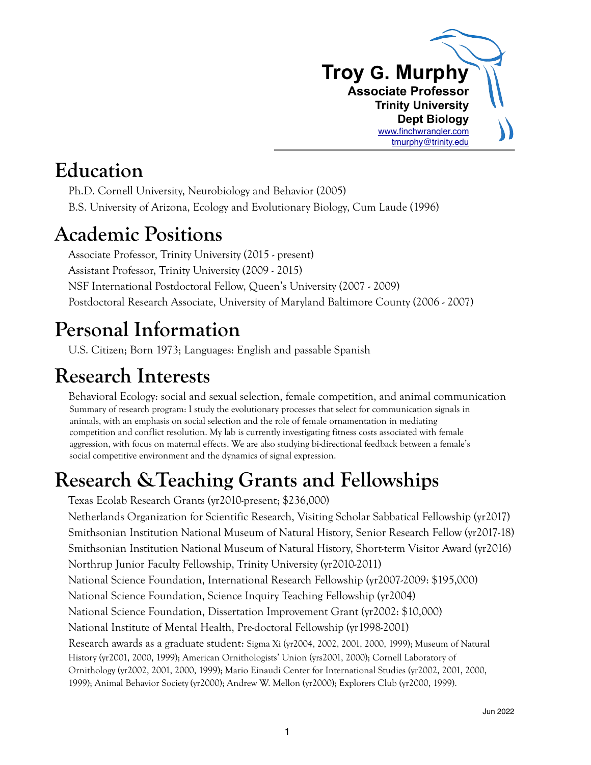

### **Education**

Ph.D. Cornell University, Neurobiology and Behavior (2005) B.S. University of Arizona, Ecology and Evolutionary Biology, Cum Laude (1996)

## **Academic Positions**

Associate Professor, Trinity University (2015 - present) Assistant Professor, Trinity University (2009 - 2015) NSF International Postdoctoral Fellow, Queen's University (2007 - 2009) Postdoctoral Research Associate, University of Maryland Baltimore County (2006 - 2007)

# **Personal Information**

U.S. Citizen; Born 1973; Languages: English and passable Spanish

# **Research Interests**

Behavioral Ecology: social and sexual selection, female competition, and animal communication Summary of research program: I study the evolutionary processes that select for communication signals in animals, with an emphasis on social selection and the role of female ornamentation in mediating competition and conflict resolution. My lab is currently investigating fitness costs associated with female aggression, with focus on maternal effects. We are also studying bi-directional feedback between a female's social competitive environment and the dynamics of signal expression.

# **Research &Teaching Grants and Fellowships**

Texas Ecolab Research Grants (yr2010-present; \$236,000)

Netherlands Organization for Scientific Research, Visiting Scholar Sabbatical Fellowship (yr2017) Smithsonian Institution National Museum of Natural History, Senior Research Fellow (yr2017-18) Smithsonian Institution National Museum of Natural History, Short-term Visitor Award (yr2016)

Northrup Junior Faculty Fellowship, Trinity University (yr2010-2011)

National Science Foundation, International Research Fellowship (yr2007-2009: \$195,000)

National Science Foundation, Science Inquiry Teaching Fellowship (yr2004)

National Science Foundation, Dissertation Improvement Grant (yr2002: \$10,000)

National Institute of Mental Health, Pre-doctoral Fellowship (yr1998-2001)

Research awards as a graduate student: Sigma Xi (yr2004, 2002, 2001, 2000, 1999); Museum of Natural History (yr2001, 2000, 1999); American Ornithologists' Union (yrs2001, 2000); Cornell Laboratory of Ornithology (yr2002, 2001, 2000, 1999); Mario Einaudi Center for International Studies (yr2002, 2001, 2000, 1999); Animal Behavior Society (yr2000); Andrew W. Mellon (yr2000); Explorers Club (yr2000, 1999).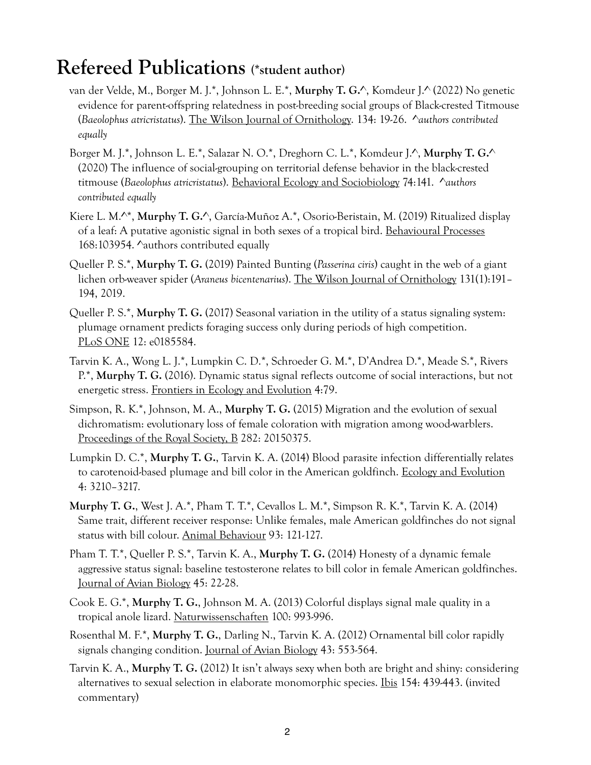### **Refereed Publications (\*student author)**

- van der Velde, M., Borger M. J.\*, Johnson L. E.\*, **Murphy T. G.**^, Komdeur J.^ (2022) No genetic evidence for parent-offspring relatedness in post-breeding social groups of Black-crested Titmouse (*Baeolophus atricristatus*). The Wilson Journal of Ornithology. 134: 19-26. ^*authors contributed equally*
- Borger M. J.\*, Johnson L. E.\*, Salazar N. O.\*, Dreghorn C. L.\*, Komdeur J.^, **Murphy T. G.**^ (2020) The influence of social-grouping on territorial defense behavior in the black-crested titmouse (*Baeolophus atricristatus*). Behavioral Ecology and Sociobiology 74:141. ^*authors contributed equally*
- Kiere L. M.^\*, **Murphy T. G.**^, García-Muñoz A.\*, Osorio-Beristain, M. (2019) Ritualized display of a leaf: A putative agonistic signal in both sexes of a tropical bird. Behavioural Processes 168:103954. ^authors contributed equally
- Queller P. S.\*, **Murphy T. G.** (2019) Painted Bunting (*Passerina ciris*) caught in the web of a giant lichen orb-weaver spider (*Araneus bicentenarius*). The Wilson Journal of Ornithology 131(1):191– 194, 2019.
- Queller P. S.\*, **Murphy T. G.** (2017) Seasonal variation in the utility of a status signaling system: plumage ornament predicts foraging success only during periods of high competition. PLoS ONE 12: e0185584.
- Tarvin K. A., Wong L. J.\*, Lumpkin C. D.\*, Schroeder G. M.\*, D'Andrea D.\*, Meade S.\*, Rivers P.\*, **Murphy T. G.** (2016). Dynamic status signal reflects outcome of social interactions, but not energetic stress. Frontiers in Ecology and Evolution 4:79.
- Simpson, R. K.\*, Johnson, M. A., **Murphy T. G.** (2015) Migration and the evolution of sexual dichromatism: evolutionary loss of female coloration with migration among wood-warblers. Proceedings of the Royal Society, B 282: 20150375.
- Lumpkin D. C.\*, **Murphy T. G.**, Tarvin K. A. (2014) Blood parasite infection differentially relates to carotenoid-based plumage and bill color in the American goldfinch. Ecology and Evolution 4: 3210–3217.
- **Murphy T. G.**, West J. A.\*, Pham T. T.\*, Cevallos L. M.\*, Simpson R. K.\*, Tarvin K. A. (2014) Same trait, different receiver response: Unlike females, male American goldfinches do not signal status with bill colour. Animal Behaviour 93: 121-127.
- Pham T. T.\*, Queller P. S.\*, Tarvin K. A., **Murphy T. G.** (2014) Honesty of a dynamic female aggressive status signal: baseline testosterone relates to bill color in female American goldfinches. Journal of Avian Biology 45: 22-28.
- Cook E. G.\*, **Murphy T. G.**, Johnson M. A. (2013) Colorful displays signal male quality in a tropical anole lizard. Naturwissenschaften 100: 993-996.
- Rosenthal M. F.\*, **Murphy T. G.**, Darling N., Tarvin K. A. (2012) Ornamental bill color rapidly signals changing condition. Journal of Avian Biology 43: 553-564.
- Tarvin K. A., **Murphy T. G.** (2012) It isn't always sexy when both are bright and shiny: considering alternatives to sexual selection in elaborate monomorphic species. Ibis 154: 439-443. (invited commentary)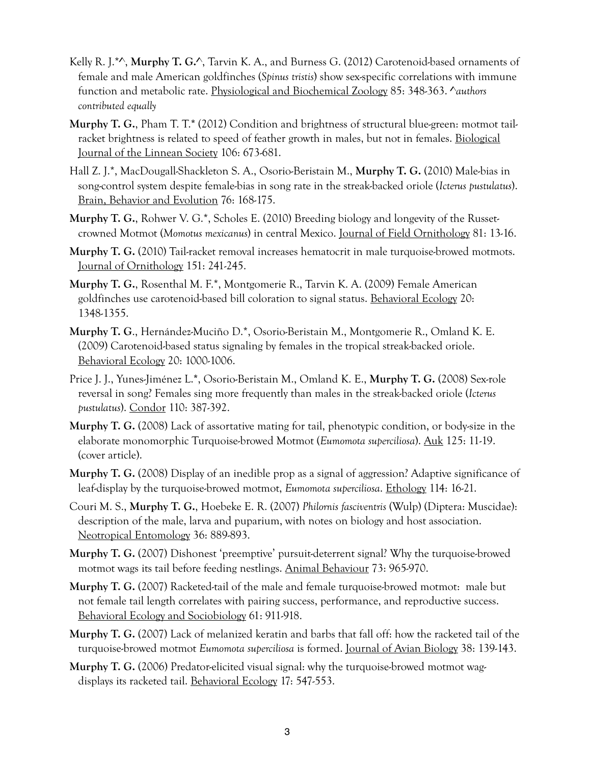- Kelly R. J.\*^, **Murphy T. G.**^, Tarvin K. A., and Burness G. (2012) Carotenoid-based ornaments of female and male American goldfinches (*Spinus tristis*) show sex-specific correlations with immune function and metabolic rate. Physiological and Biochemical Zoology 85: 348-363. ^*authors contributed equally*
- **Murphy T. G.**, Pham T. T.**\*** (2012) Condition and brightness of structural blue-green: motmot tailracket brightness is related to speed of feather growth in males, but not in females. Biological Journal of the Linnean Society 106: 673-681.
- Hall Z. J.\*, MacDougall-Shackleton S. A., Osorio-Beristain M., **Murphy T. G.** (2010) Male-bias in song-control system despite female-bias in song rate in the streak-backed oriole (*Icterus pustulatus*). Brain, Behavior and Evolution 76: 168-175.
- **Murphy T. G.**, Rohwer V. G.\*, Scholes E. (2010) Breeding biology and longevity of the Russetcrowned Motmot (*Momotus mexicanus*) in central Mexico. Journal of Field Ornithology 81: 13-16.
- **Murphy T. G.** (2010) Tail-racket removal increases hematocrit in male turquoise-browed motmots. Journal of Ornithology 151: 241-245.
- **Murphy T. G.**, Rosenthal M. F.\*, Montgomerie R., Tarvin K. A. (2009) Female American goldfinches use carotenoid-based bill coloration to signal status. Behavioral Ecology 20: 1348-1355.
- **Murphy T. G**., Hernández-Muciño D.\*, Osorio-Beristain M., Montgomerie R., Omland K. E. (2009) Carotenoid-based status signaling by females in the tropical streak-backed oriole. Behavioral Ecology 20: 1000-1006.
- Price J. J., Yunes-Jiménez L.**\***, Osorio-Beristain M., Omland K. E., **Murphy T. G.** (2008) Sex-role reversal in song? Females sing more frequently than males in the streak-backed oriole (*Icterus pustulatus*). Condor 110: 387-392.
- **Murphy T. G.** (2008) Lack of assortative mating for tail, phenotypic condition, or body-size in the elaborate monomorphic Turquoise-browed Motmot (*Eumomota superciliosa*). Auk 125: 11-19. (cover article).
- **Murphy T. G.** (2008) Display of an inedible prop as a signal of aggression? Adaptive significance of leaf-display by the turquoise-browed motmot, *Eumomota superciliosa*. Ethology 114: 16-21.
- Couri M. S., **Murphy T. G.**, Hoebeke E. R. (2007) *Philornis fasciventris* (Wulp) (Diptera: Muscidae): description of the male, larva and puparium, with notes on biology and host association. Neotropical Entomology 36: 889-893.
- **Murphy T. G.** (2007) Dishonest 'preemptive' pursuit-deterrent signal? Why the turquoise-browed motmot wags its tail before feeding nestlings. Animal Behaviour 73: 965-970.
- **Murphy T. G.** (2007) Racketed-tail of the male and female turquoise-browed motmot: male but not female tail length correlates with pairing success, performance, and reproductive success. Behavioral Ecology and Sociobiology 61: 911-918.
- **Murphy T. G.** (2007) Lack of melanized keratin and barbs that fall off: how the racketed tail of the turquoise-browed motmot *Eumomota superciliosa* is formed. Journal of Avian Biology 38: 139-143.
- **Murphy T. G.** (2006) Predator-elicited visual signal: why the turquoise-browed motmot wagdisplays its racketed tail. Behavioral Ecology 17: 547-553.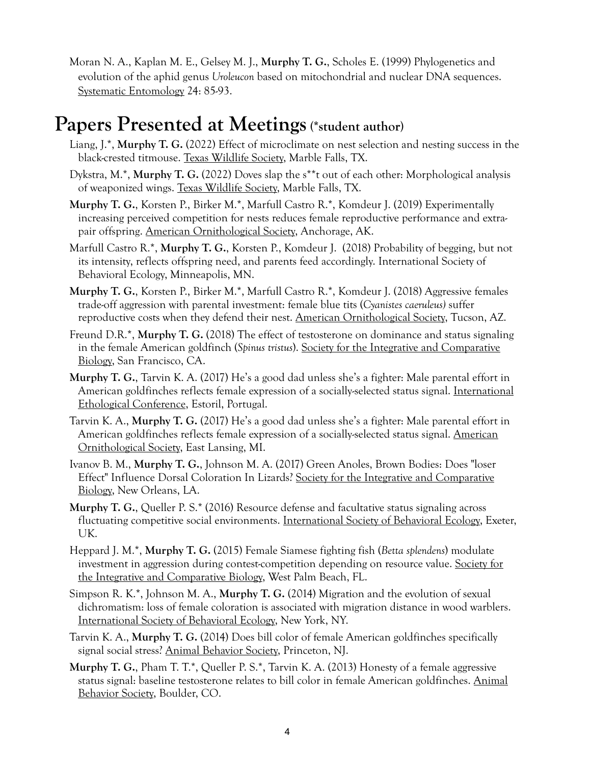Moran N. A., Kaplan M. E., Gelsey M. J., **Murphy T. G.**, Scholes E. (1999) Phylogenetics and evolution of the aphid genus *Uroleucon* based on mitochondrial and nuclear DNA sequences. Systematic Entomology 24: 85-93.

### **Papers Presented at Meetings (\*student author)**

- Liang, J.\*, **Murphy T. G.** (2022) Effect of microclimate on nest selection and nesting success in the black-crested titmouse. Texas Wildlife Society, Marble Falls, TX.
- Dykstra, M.\*, **Murphy T. G.** (2022) Doves slap the s\*\*t out of each other: Morphological analysis of weaponized wings. Texas Wildlife Society, Marble Falls, TX.
- **Murphy T. G.**, Korsten P., Birker M.\*, Marfull Castro R.\*, Komdeur J. (2019) Experimentally increasing perceived competition for nests reduces female reproductive performance and extrapair offspring. American Ornithological Society, Anchorage, AK.
- Marfull Castro R.\*, **Murphy T. G.**, Korsten P., Komdeur J. (2018) Probability of begging, but not its intensity, reflects offspring need, and parents feed accordingly. International Society of Behavioral Ecology, Minneapolis, MN.
- **Murphy T. G.**, Korsten P., Birker M.\*, Marfull Castro R.\*, Komdeur J. (2018) Aggressive females trade-off aggression with parental investment: female blue tits (*Cyanistes caeruleus)* suffer reproductive costs when they defend their nest. American Ornithological Society, Tucson, AZ.
- Freund D.R.\*, **Murphy T. G.** (2018) The effect of testosterone on dominance and status signaling in the female American goldfinch (*Spinus tristus*). Society for the Integrative and Comparative Biology, San Francisco, CA.
- **Murphy T. G.**, Tarvin K. A. (2017) He's a good dad unless she's a fighter: Male parental effort in American goldfinches reflects female expression of a socially-selected status signal. International Ethological Conference, Estoril, Portugal.
- Tarvin K. A., **Murphy T. G.** (2017) He's a good dad unless she's a fighter: Male parental effort in American goldfinches reflects female expression of a socially-selected status signal. American Ornithological Society, East Lansing, MI.
- Ivanov B. M., **Murphy T. G.**, Johnson M. A. (2017) Green Anoles, Brown Bodies: Does "loser Effect" Influence Dorsal Coloration In Lizards? Society for the Integrative and Comparative Biology, New Orleans, LA.
- **Murphy T. G.**, Queller P. S.\* (2016) Resource defense and facultative status signaling across fluctuating competitive social environments. International Society of Behavioral Ecology, Exeter, UK.
- Heppard J. M.\*, **Murphy T. G.** (2015) Female Siamese fighting fish (*Betta splendens*) modulate investment in aggression during contest-competition depending on resource value. Society for the Integrative and Comparative Biology, West Palm Beach, FL.
- Simpson R. K.\*, Johnson M. A., **Murphy T. G.** (2014) Migration and the evolution of sexual dichromatism: loss of female coloration is associated with migration distance in wood warblers. International Society of Behavioral Ecology, New York, NY.
- Tarvin K. A., **Murphy T. G.** (2014) Does bill color of female American goldfinches specifically signal social stress? Animal Behavior Society, Princeton, NJ.
- **Murphy T. G.**, Pham T. T.\*, Queller P. S.\*, Tarvin K. A. (2013) Honesty of a female aggressive status signal: baseline testosterone relates to bill color in female American goldfinches. Animal Behavior Society, Boulder, CO.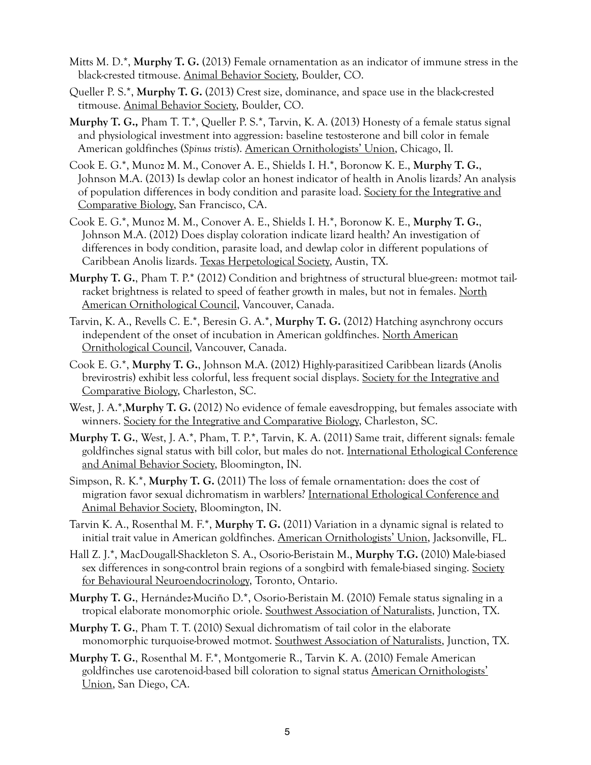- Mitts M. D.\*, **Murphy T. G.** (2013) Female ornamentation as an indicator of immune stress in the black-crested titmouse. Animal Behavior Society, Boulder, CO.
- Queller P. S.\*, **Murphy T. G.** (2013) Crest size, dominance, and space use in the black-crested titmouse. Animal Behavior Society, Boulder, CO.
- **Murphy T. G.,** Pham T. T.\*, Queller P. S.\*, Tarvin, K. A. (2013) Honesty of a female status signal and physiological investment into aggression: baseline testosterone and bill color in female American goldfinches (*Spinus tristis*). American Ornithologists' Union, Chicago, Il.
- Cook E. G.\*, Munoz M. M., Conover A. E., Shields I. H.\*, Boronow K. E., **Murphy T. G.**, Johnson M.A. (2013) Is dewlap color an honest indicator of health in Anolis lizards? An analysis of population differences in body condition and parasite load. Society for the Integrative and Comparative Biology, San Francisco, CA.
- Cook E. G.\*, Munoz M. M., Conover A. E., Shields I. H.\*, Boronow K. E., **Murphy T. G.**, Johnson M.A. (2012) Does display coloration indicate lizard health? An investigation of differences in body condition, parasite load, and dewlap color in different populations of Caribbean Anolis lizards. Texas Herpetological Society, Austin, TX.
- **Murphy T. G.**, Pham T. P.\* (2012) Condition and brightness of structural blue-green: motmot tailracket brightness is related to speed of feather growth in males, but not in females. North American Ornithological Council, Vancouver, Canada.
- Tarvin, K. A., Revells C. E.\*, Beresin G. A.\*, **Murphy T. G.** (2012) Hatching asynchrony occurs independent of the onset of incubation in American goldfinches. North American Ornithological Council, Vancouver, Canada.
- Cook E. G.\*, **Murphy T. G.**, Johnson M.A. (2012) Highly-parasitized Caribbean lizards (Anolis brevirostris) exhibit less colorful, less frequent social displays. Society for the Integrative and Comparative Biology, Charleston, SC.
- West, J. A.\*,**Murphy T. G.** (2012) No evidence of female eavesdropping, but females associate with winners. Society for the Integrative and Comparative Biology, Charleston, SC.
- **Murphy T. G.**, West, J. A.\*, Pham, T. P.\*, Tarvin, K. A. (2011) Same trait, different signals: female goldfinches signal status with bill color, but males do not. International Ethological Conference and Animal Behavior Society, Bloomington, IN.
- Simpson, R. K.\*, **Murphy T. G.** (2011) The loss of female ornamentation: does the cost of migration favor sexual dichromatism in warblers? International Ethological Conference and Animal Behavior Society, Bloomington, IN.
- Tarvin K. A., Rosenthal M. F.\*, **Murphy T. G.** (2011) Variation in a dynamic signal is related to initial trait value in American goldfinches. American Ornithologists' Union, Jacksonville, FL.
- Hall Z. J.\*, MacDougall-Shackleton S. A., Osorio-Beristain M., **Murphy T.G.** (2010) Male-biased sex differences in song-control brain regions of a songbird with female-biased singing. Society for Behavioural Neuroendocrinology, Toronto, Ontario.
- **Murphy T. G.**, Hernández-Muciño D.\*, Osorio-Beristain M. (2010) Female status signaling in a tropical elaborate monomorphic oriole. Southwest Association of Naturalists, Junction, TX.
- **Murphy T. G.**, Pham T. T. (2010) Sexual dichromatism of tail color in the elaborate monomorphic turquoise-browed motmot. <u>Southwest Association of Naturalists</u>, Junction, TX.
- **Murphy T. G.**, Rosenthal M. F.\*, Montgomerie R., Tarvin K. A. (2010) Female American goldfinches use carotenoid-based bill coloration to signal status American Ornithologists' Union, San Diego, CA.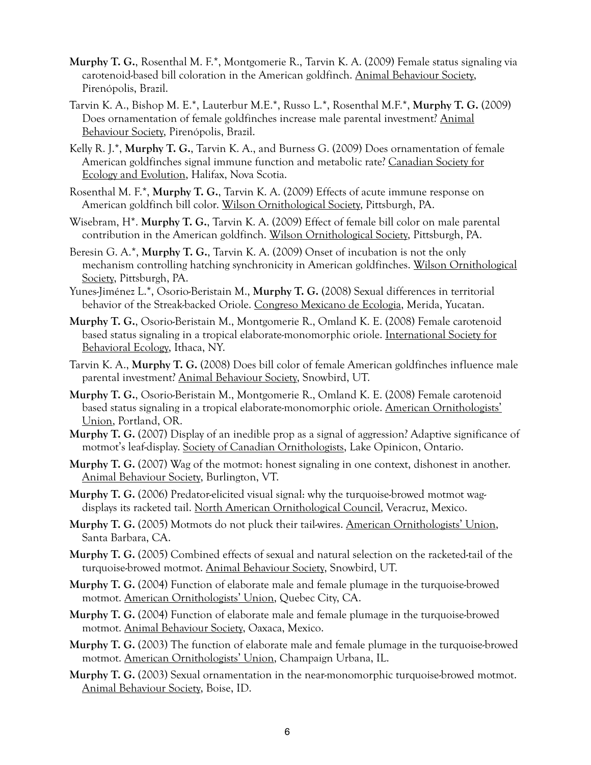- **Murphy T. G.**, Rosenthal M. F.\*, Montgomerie R., Tarvin K. A. (2009) Female status signaling via carotenoid-based bill coloration in the American goldfinch. Animal Behaviour Society, Pirenópolis, Brazil.
- Tarvin K. A., Bishop M. E.\*, Lauterbur M.E.\*, Russo L.\*, Rosenthal M.F.\*, **Murphy T. G.** (2009) Does ornamentation of female goldfinches increase male parental investment? Animal Behaviour Society, Pirenópolis, Brazil.
- Kelly R. J.\*, **Murphy T. G.**, Tarvin K. A., and Burness G. (2009) Does ornamentation of female American goldfinches signal immune function and metabolic rate? Canadian Society for Ecology and Evolution, Halifax, Nova Scotia.
- Rosenthal M. F.\*, **Murphy T. G.**, Tarvin K. A. (2009) Effects of acute immune response on American goldfinch bill color. Wilson Ornithological Society, Pittsburgh, PA.
- Wisebram, H\*. **Murphy T. G.**, Tarvin K. A. (2009) Effect of female bill color on male parental contribution in the American goldfinch. Wilson Ornithological Society, Pittsburgh, PA.
- Beresin G. A.\*, **Murphy T. G.**, Tarvin K. A. (2009) Onset of incubation is not the only mechanism controlling hatching synchronicity in American goldfinches. Wilson Ornithological Society, Pittsburgh, PA.
- Yunes-Jiménez L.\*, Osorio-Beristain M., **Murphy T. G.** (2008) Sexual differences in territorial behavior of the Streak-backed Oriole. Congreso Mexicano de Ecologia, Merida, Yucatan.
- **Murphy T. G.**, Osorio-Beristain M., Montgomerie R., Omland K. E. (2008) Female carotenoid based status signaling in a tropical elaborate-monomorphic oriole. International Society for Behavioral Ecology, Ithaca, NY.
- Tarvin K. A., **Murphy T. G.** (2008) Does bill color of female American goldfinches influence male parental investment? Animal Behaviour Society, Snowbird, UT.
- **Murphy T. G.**, Osorio-Beristain M., Montgomerie R., Omland K. E. (2008) Female carotenoid based status signaling in a tropical elaborate-monomorphic oriole. American Ornithologists' Union, Portland, OR.
- **Murphy T. G.** (2007) Display of an inedible prop as a signal of aggression? Adaptive significance of motmot's leaf-display. Society of Canadian Ornithologists, Lake Opinicon, Ontario.
- **Murphy T. G.** (2007) Wag of the motmot: honest signaling in one context, dishonest in another. Animal Behaviour Society, Burlington, VT.
- **Murphy T. G.** (2006) Predator-elicited visual signal: why the turquoise-browed motmot wagdisplays its racketed tail. North American Ornithological Council, Veracruz, Mexico.
- **Murphy T. G.** (2005) Motmots do not pluck their tail-wires. American Ornithologists' Union, Santa Barbara, CA.
- **Murphy T. G.** (2005) Combined effects of sexual and natural selection on the racketed-tail of the turquoise-browed motmot. Animal Behaviour Society, Snowbird, UT.
- **Murphy T. G.** (2004) Function of elaborate male and female plumage in the turquoise-browed motmot. American Ornithologists' Union, Quebec City, CA.
- **Murphy T. G.** (2004) Function of elaborate male and female plumage in the turquoise-browed motmot. Animal Behaviour Society, Oaxaca, Mexico.
- **Murphy T. G.** (2003) The function of elaborate male and female plumage in the turquoise-browed motmot. American Ornithologists' Union, Champaign Urbana, IL.
- **Murphy T. G.** (2003) Sexual ornamentation in the near-monomorphic turquoise-browed motmot. Animal Behaviour Society, Boise, ID.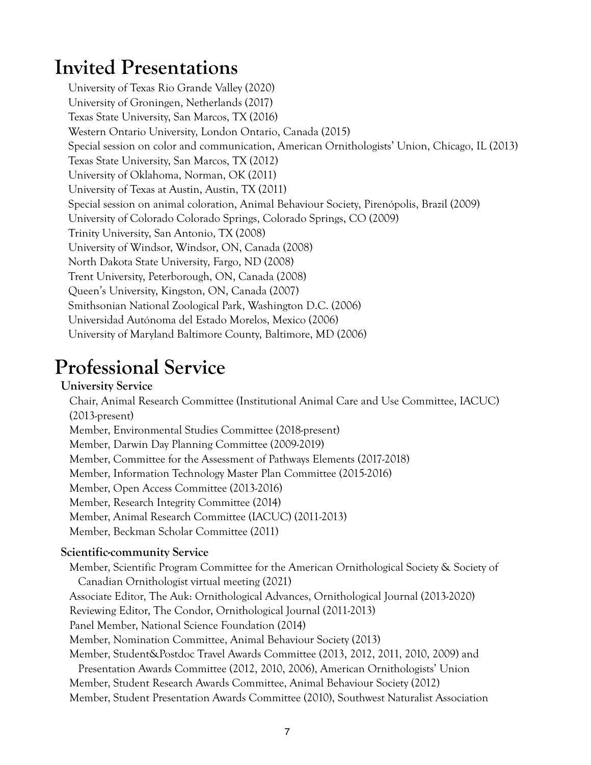## **Invited Presentations**

University of Texas Rio Grande Valley (2020) University of Groningen, Netherlands (2017) Texas State University, San Marcos, TX (2016) Western Ontario University, London Ontario, Canada (2015) Special session on color and communication, American Ornithologists' Union, Chicago, IL (2013) Texas State University, San Marcos, TX (2012) University of Oklahoma, Norman, OK (2011) University of Texas at Austin, Austin, TX (2011) Special session on animal coloration, Animal Behaviour Society, Pirenópolis, Brazil (2009) University of Colorado Colorado Springs, Colorado Springs, CO (2009) Trinity University, San Antonio, TX (2008) University of Windsor, Windsor, ON, Canada (2008) North Dakota State University, Fargo, ND (2008) Trent University, Peterborough, ON, Canada (2008) Queen's University, Kingston, ON, Canada (2007) Smithsonian National Zoological Park, Washington D.C. (2006) Universidad Autónoma del Estado Morelos, Mexico (2006) University of Maryland Baltimore County, Baltimore, MD (2006)

### **Professional Service**

#### **University Service**

Chair, Animal Research Committee (Institutional Animal Care and Use Committee, IACUC) (2013-present) Member, Environmental Studies Committee (2018-present) Member, Darwin Day Planning Committee (2009-2019) Member, Committee for the Assessment of Pathways Elements (2017-2018) Member, Information Technology Master Plan Committee (2015-2016) Member, Open Access Committee (2013-2016) Member, Research Integrity Committee (2014) Member, Animal Research Committee (IACUC) (2011-2013) Member, Beckman Scholar Committee (2011)

#### **Scientific-community Service**

Member, Scientific Program Committee for the American Ornithological Society & Society of Canadian Ornithologist virtual meeting (2021) Associate Editor, The Auk: Ornithological Advances, Ornithological Journal (2013-2020) Reviewing Editor, The Condor, Ornithological Journal (2011-2013) Panel Member, National Science Foundation (2014) Member, Nomination Committee, Animal Behaviour Society (2013) Member, Student&Postdoc Travel Awards Committee (2013, 2012, 2011, 2010, 2009) and Presentation Awards Committee (2012, 2010, 2006), American Ornithologists' Union Member, Student Research Awards Committee, Animal Behaviour Society (2012) Member, Student Presentation Awards Committee (2010), Southwest Naturalist Association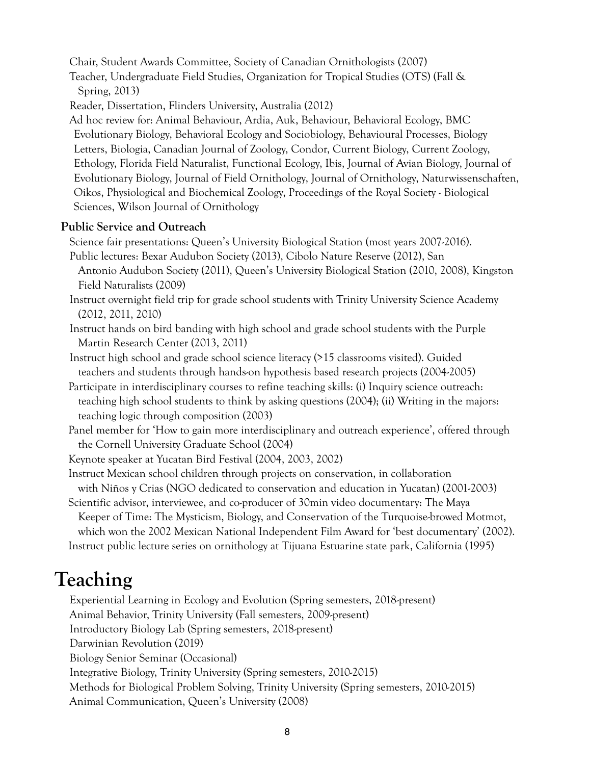Chair, Student Awards Committee, Society of Canadian Ornithologists (2007)

Teacher, Undergraduate Field Studies, Organization for Tropical Studies (OTS) (Fall & Spring, 2013)

Reader, Dissertation, Flinders University, Australia (2012)

Ad hoc review for: Animal Behaviour, Ardia, Auk, Behaviour, Behavioral Ecology, BMC Evolutionary Biology, Behavioral Ecology and Sociobiology, Behavioural Processes, Biology Letters, Biologia, Canadian Journal of Zoology, Condor, Current Biology, Current Zoology, Ethology, Florida Field Naturalist, Functional Ecology, Ibis, Journal of Avian Biology, Journal of Evolutionary Biology, Journal of Field Ornithology, Journal of Ornithology, Naturwissenschaften, Oikos, Physiological and Biochemical Zoology, Proceedings of the Royal Society - Biological Sciences, Wilson Journal of Ornithology

#### **Public Service and Outreach**

Science fair presentations: Queen's University Biological Station (most years 2007-2016).

Public lectures: Bexar Audubon Society (2013), Cibolo Nature Reserve (2012), San Antonio Audubon Society (2011), Queen's University Biological Station (2010, 2008), Kingston Field Naturalists (2009)

Instruct overnight field trip for grade school students with Trinity University Science Academy (2012, 2011, 2010)

Instruct hands on bird banding with high school and grade school students with the Purple Martin Research Center (2013, 2011)

Instruct high school and grade school science literacy (>15 classrooms visited). Guided teachers and students through hands-on hypothesis based research projects (2004-2005)

Participate in interdisciplinary courses to refine teaching skills: (i) Inquiry science outreach: teaching high school students to think by asking questions (2004); (ii) Writing in the majors: teaching logic through composition (2003)

Panel member for 'How to gain more interdisciplinary and outreach experience', offered through the Cornell University Graduate School (2004)

Keynote speaker at Yucatan Bird Festival (2004, 2003, 2002)

Instruct Mexican school children through projects on conservation, in collaboration

with Niños y Crias (NGO dedicated to conservation and education in Yucatan) (2001-2003)

Scientific advisor, interviewee, and co-producer of 30min video documentary: The Maya Keeper of Time: The Mysticism, Biology, and Conservation of the Turquoise-browed Motmot, which won the 2002 Mexican National Independent Film Award for 'best documentary' (2002). Instruct public lecture series on ornithology at Tijuana Estuarine state park, California (1995)

### **Teaching**

Experiential Learning in Ecology and Evolution (Spring semesters, 2018-present) Animal Behavior, Trinity University (Fall semesters, 2009-present) Introductory Biology Lab (Spring semesters, 2018-present) Darwinian Revolution (2019) Biology Senior Seminar (Occasional) Integrative Biology, Trinity University (Spring semesters, 2010-2015) Methods for Biological Problem Solving, Trinity University (Spring semesters, 2010-2015) Animal Communication, Queen's University (2008)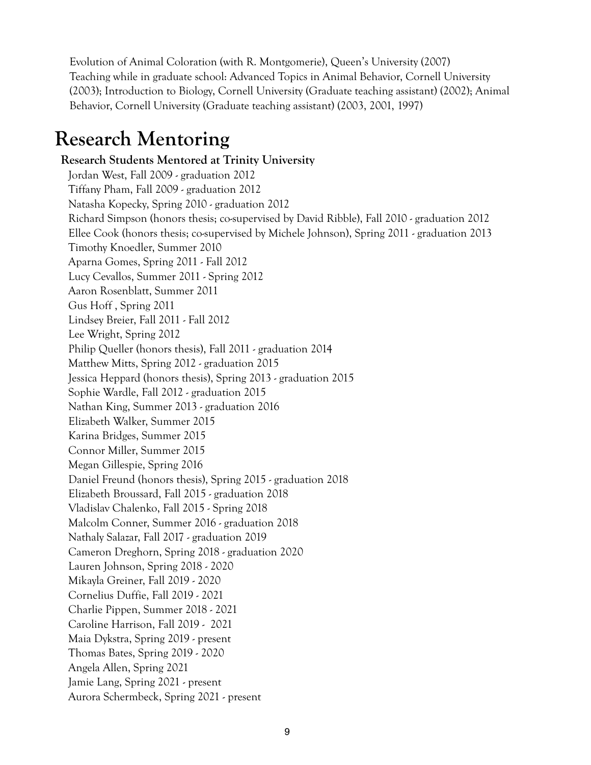Evolution of Animal Coloration (with R. Montgomerie), Queen's University (2007) Teaching while in graduate school: Advanced Topics in Animal Behavior, Cornell University (2003); Introduction to Biology, Cornell University (Graduate teaching assistant) (2002); Animal Behavior, Cornell University (Graduate teaching assistant) (2003, 2001, 1997)

## **Research Mentoring**

#### **Research Students Mentored at Trinity University**

Jordan West, Fall 2009 - graduation 2012 Tiffany Pham, Fall 2009 - graduation 2012 Natasha Kopecky, Spring 2010 - graduation 2012 Richard Simpson (honors thesis; co-supervised by David Ribble), Fall 2010 - graduation 2012 Ellee Cook (honors thesis; co-supervised by Michele Johnson), Spring 2011 - graduation 2013 Timothy Knoedler, Summer 2010 Aparna Gomes, Spring 2011 - Fall 2012 Lucy Cevallos, Summer 2011 - Spring 2012 Aaron Rosenblatt, Summer 2011 Gus Hoff , Spring 2011 Lindsey Breier, Fall 2011 - Fall 2012 Lee Wright, Spring 2012 Philip Queller (honors thesis), Fall 2011 - graduation 2014 Matthew Mitts, Spring 2012 - graduation 2015 Jessica Heppard (honors thesis), Spring 2013 - graduation 2015 Sophie Wardle, Fall 2012 - graduation 2015 Nathan King, Summer 2013 - graduation 2016 Elizabeth Walker, Summer 2015 Karina Bridges, Summer 2015 Connor Miller, Summer 2015 Megan Gillespie, Spring 2016 Daniel Freund (honors thesis), Spring 2015 - graduation 2018 Elizabeth Broussard, Fall 2015 - graduation 2018 Vladislav Chalenko, Fall 2015 - Spring 2018 Malcolm Conner, Summer 2016 - graduation 2018 Nathaly Salazar, Fall 2017 - graduation 2019 Cameron Dreghorn, Spring 2018 - graduation 2020 Lauren Johnson, Spring 2018 - 2020 Mikayla Greiner, Fall 2019 - 2020 Cornelius Duffie, Fall 2019 - 2021 Charlie Pippen, Summer 2018 - 2021 Caroline Harrison, Fall 2019 - 2021 Maia Dykstra, Spring 2019 - present Thomas Bates, Spring 2019 - 2020 Angela Allen, Spring 2021 Jamie Lang, Spring 2021 - present Aurora Schermbeck, Spring 2021 - present